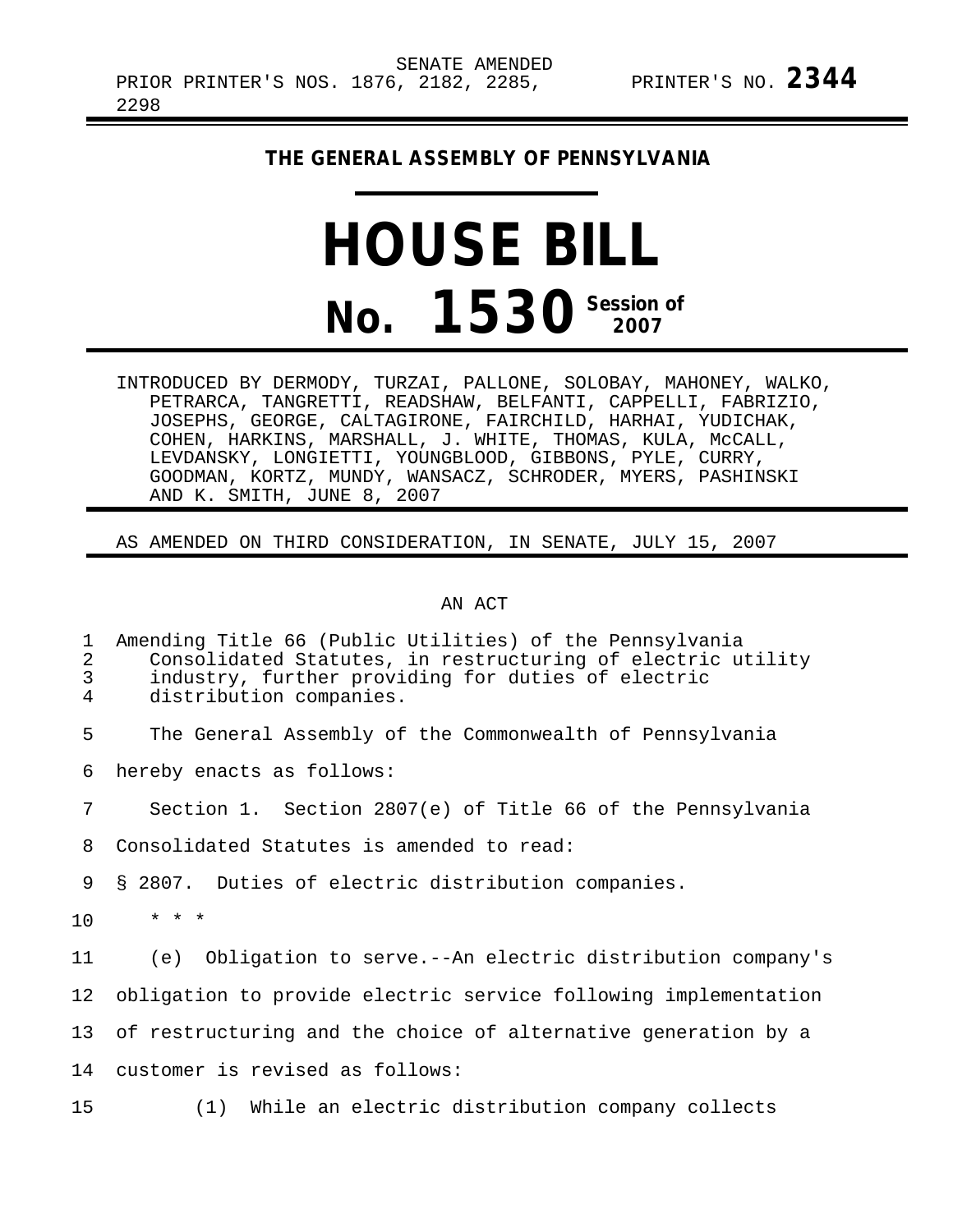## **THE GENERAL ASSEMBLY OF PENNSYLVANIA**

## **HOUSE BILL No. 1530** Session of

INTRODUCED BY DERMODY, TURZAI, PALLONE, SOLOBAY, MAHONEY, WALKO, PETRARCA, TANGRETTI, READSHAW, BELFANTI, CAPPELLI, FABRIZIO, JOSEPHS, GEORGE, CALTAGIRONE, FAIRCHILD, HARHAI, YUDICHAK, COHEN, HARKINS, MARSHALL, J. WHITE, THOMAS, KULA, McCALL, LEVDANSKY, LONGIETTI, YOUNGBLOOD, GIBBONS, PYLE, CURRY, GOODMAN, KORTZ, MUNDY, WANSACZ, SCHRODER, MYERS, PASHINSKI AND K. SMITH, JUNE 8, 2007

## AS AMENDED ON THIRD CONSIDERATION, IN SENATE, JULY 15, 2007

## AN ACT

| 1<br>2<br>3<br>$\overline{4}$ | Amending Title 66 (Public Utilities) of the Pennsylvania<br>Consolidated Statutes, in restructuring of electric utility<br>industry, further providing for duties of electric<br>distribution companies. |
|-------------------------------|----------------------------------------------------------------------------------------------------------------------------------------------------------------------------------------------------------|
| 5                             | The General Assembly of the Commonwealth of Pennsylvania                                                                                                                                                 |
| 6                             | hereby enacts as follows:                                                                                                                                                                                |
| 7                             | Section 1. Section 2807(e) of Title 66 of the Pennsylvania                                                                                                                                               |
| 8                             | Consolidated Statutes is amended to read:                                                                                                                                                                |
| 9                             | § 2807. Duties of electric distribution companies.                                                                                                                                                       |
| 10 <sup>°</sup>               | $* * *$                                                                                                                                                                                                  |
| 11                            | Obligation to serve.--An electric distribution company's<br>(e)                                                                                                                                          |
| 12                            | obligation to provide electric service following implementation                                                                                                                                          |
|                               | 13 of restructuring and the choice of alternative generation by a                                                                                                                                        |
| 14                            | customer is revised as follows:                                                                                                                                                                          |
| 15 <sub>1</sub>               | (1) While an electric distribution company collects                                                                                                                                                      |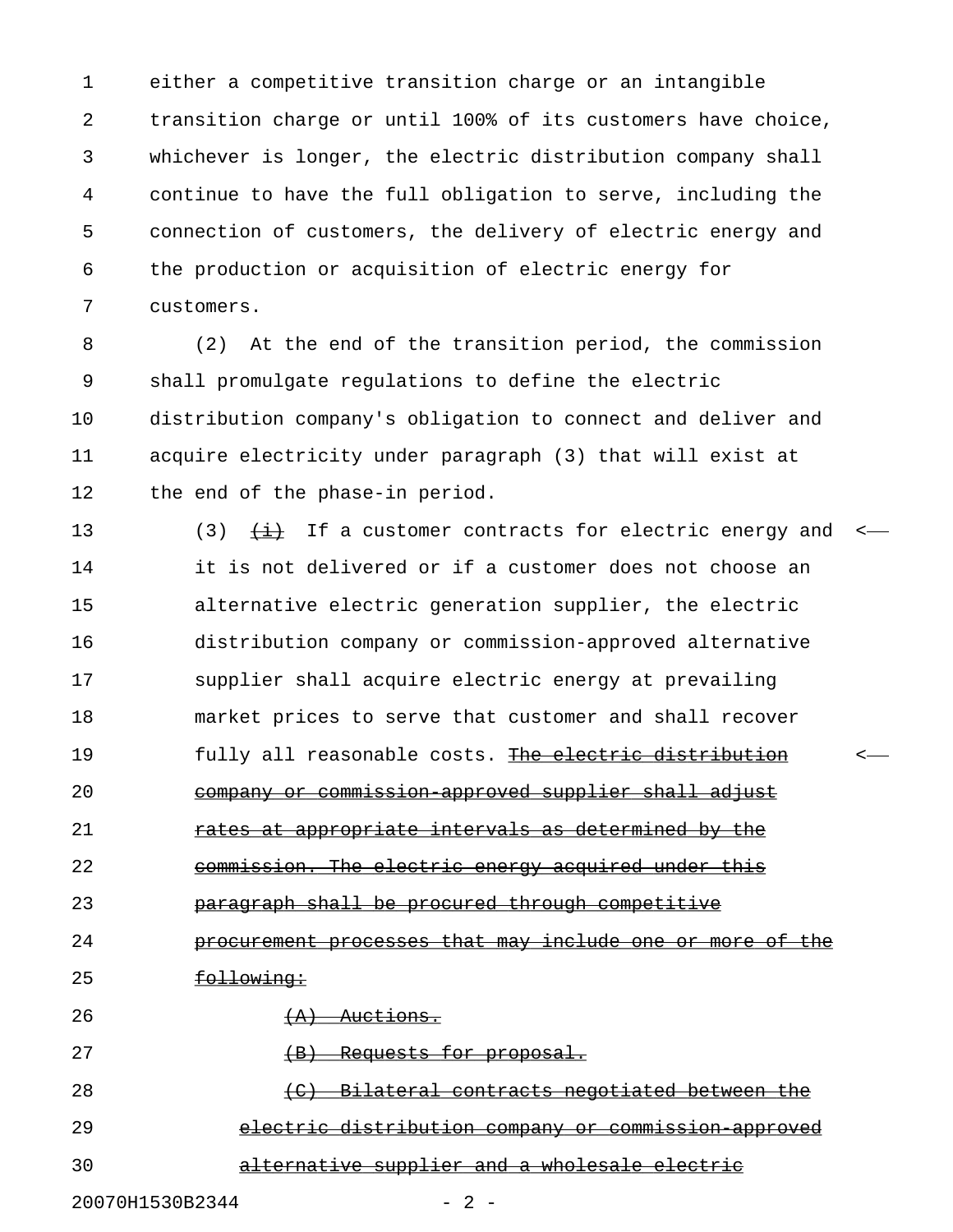1 either a competitive transition charge or an intangible 2 transition charge or until 100% of its customers have choice, 3 whichever is longer, the electric distribution company shall 4 continue to have the full obligation to serve, including the 5 connection of customers, the delivery of electric energy and 6 the production or acquisition of electric energy for 7 customers.

8 (2) At the end of the transition period, the commission 9 shall promulgate regulations to define the electric 10 distribution company's obligation to connect and deliver and 11 acquire electricity under paragraph (3) that will exist at 12 the end of the phase-in period.

13 (3)  $\frac{11}{2}$  If a customer contracts for electric energy and <-14 it is not delivered or if a customer does not choose an 15 alternative electric generation supplier, the electric 16 distribution company or commission-approved alternative 17 supplier shall acquire electric energy at prevailing 18 market prices to serve that customer and shall recover 19 fully all reasonable costs. The electric distribution 20 company or commission approved supplier shall adjust 21 rates at appropriate intervals as determined by the 22 commission. The electric energy acquired under this 23 paragraph shall be procured through competitive 24 **procurement processes that may include one or more of the** 25 following: 26  $(A)$  Auctions. 27 (B) Requests for proposal. 28 (C) Bilateral contracts negotiated between the 29 electric distribution company or commission approved 30 alternative supplier and a wholesale electric

20070H1530B2344 - 2 -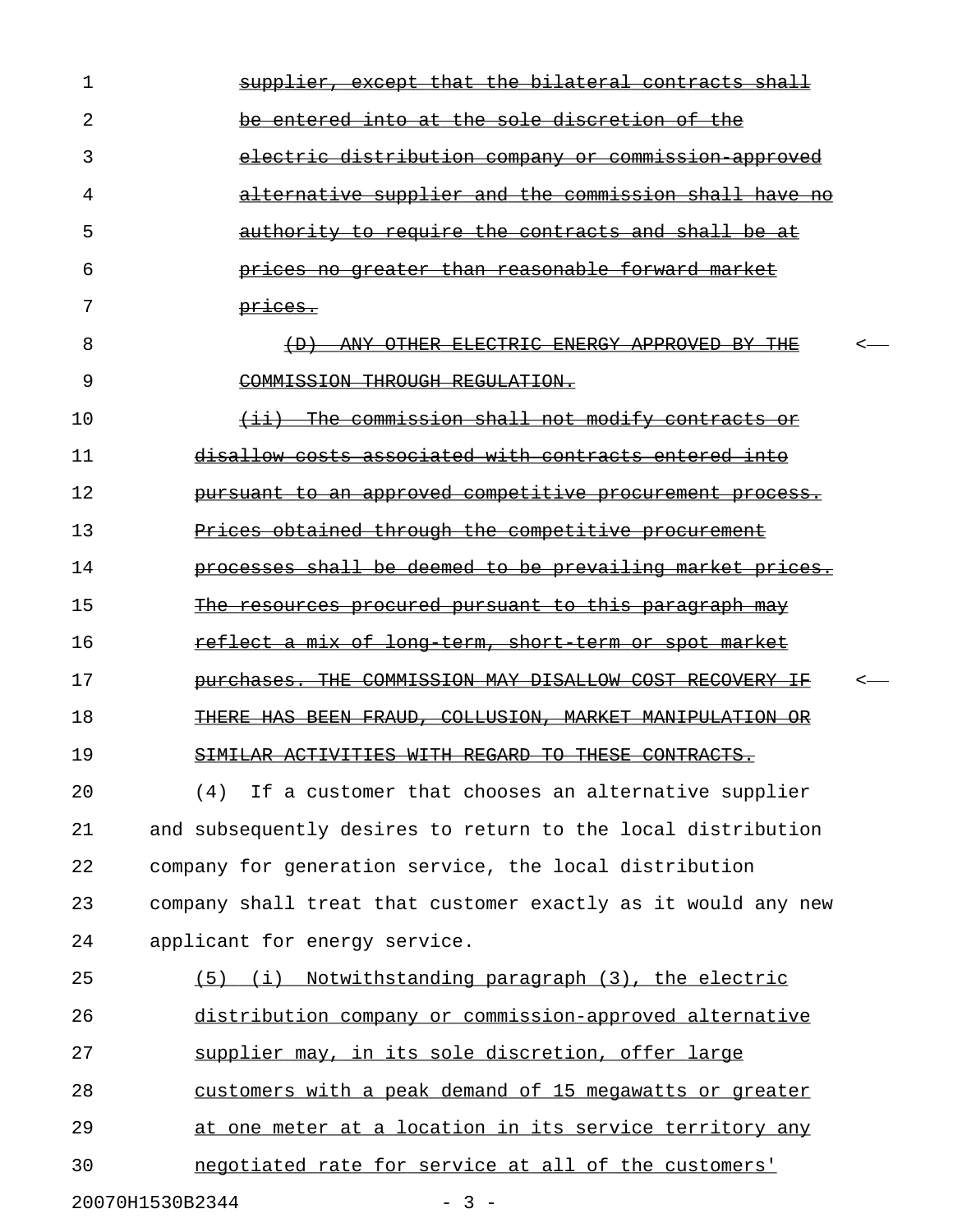| 1  | supplier, except that the bilateral contracts shall                                     |  |
|----|-----------------------------------------------------------------------------------------|--|
| 2  | entered into at the sole discretion of the                                              |  |
| 3  | electric distribution company or commission approved                                    |  |
| 4  | alternative supplier and the commission shall have<br>-no                               |  |
| 5  | <u>authority to require the contracts and shall</u>                                     |  |
| 6  | prices no greater than reasonable forward market                                        |  |
| 7  | prices.                                                                                 |  |
| 8  | OTHER ELECTRIC ENERGY APPROVED<br>$+D$<br>ANY -<br>-BY-                                 |  |
| 9  | COMMISSION THROUGH REGULATION.                                                          |  |
| 10 | The commission shall not modify contracts or<br>$\leftrightarrow$                       |  |
| 11 | disallow costs associated with contracts entered                                        |  |
| 12 | pursuant to an approved competitive procurement process.                                |  |
| 13 | Prices obtained through the competitive procurement                                     |  |
| 14 | processes shall be deemed to be prevailing market prices.                               |  |
| 15 | procured pursuant to this paragraph may<br><del>resources</del>                         |  |
| 16 | <u>reflect a mix of long term, short term or spot market</u>                            |  |
| 17 | COMMISSION MAY DISALLOW COST RECOVERY<br><del>THE</del><br><del>purchases.</del><br>ŦŁ. |  |
| 18 | COLLUSION.<br>HAS BEEN<br><del>FRAUD.</del><br>MARKET MANTPULATION                      |  |
| 19 | SIMILAR ACTIVITIES WITH REGARD TO THESE CONTRACTS.                                      |  |
| 20 | (4) If a customer that chooses an alternative supplier                                  |  |
| 21 | and subsequently desires to return to the local distribution                            |  |
| 22 | company for generation service, the local distribution                                  |  |
| 23 | company shall treat that customer exactly as it would any new                           |  |
| 24 | applicant for energy service.                                                           |  |
| 25 | (5) (i) Notwithstanding paragraph (3), the electric                                     |  |
| 26 | distribution company or commission-approved alternative                                 |  |
| 27 | supplier may, in its sole discretion, offer large                                       |  |
| 28 | customers with a peak demand of 15 megawatts or greater                                 |  |
| 29 | at one meter at a location in its service territory any                                 |  |
| 30 | negotiated rate for service at all of the customers'                                    |  |
|    | 20070H1530B2344<br>$-3 -$                                                               |  |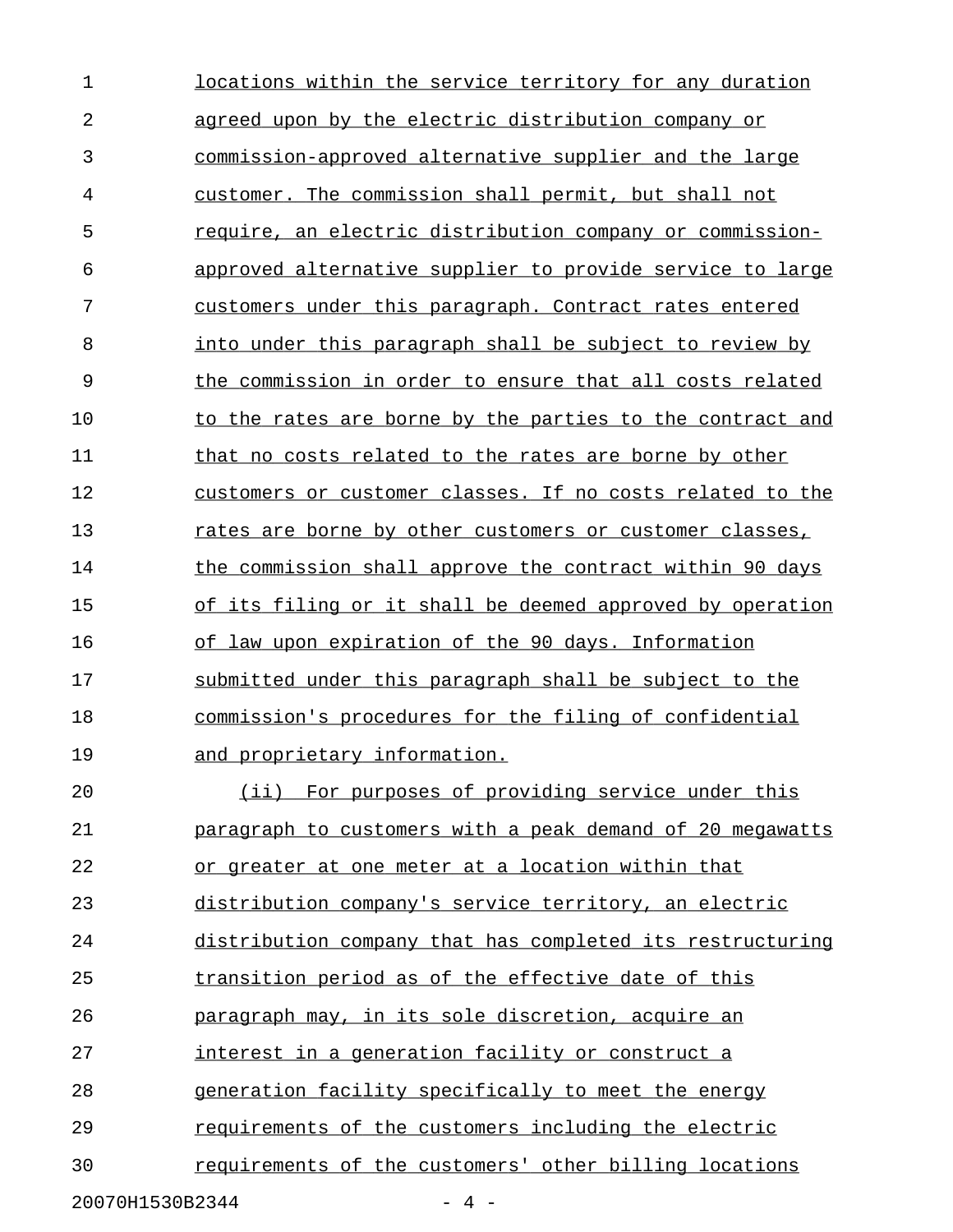1 locations within the service territory for any duration 2 agreed upon by the electric distribution company or 3 commission-approved alternative supplier and the large 4 customer. The commission shall permit, but shall not 5 require, an electric distribution company or commission- \_\_\_\_\_\_\_\_\_\_\_\_\_\_\_\_\_\_\_\_\_\_\_\_\_\_\_\_\_\_\_\_\_\_\_\_\_\_\_\_\_\_\_\_\_\_\_\_\_\_\_\_\_\_\_\_ 6 approved alternative supplier to provide service to large 7 customers under this paragraph. Contract rates entered 8 into under this paragraph shall be subject to review by 9 the commission in order to ensure that all costs related 10 to the rates are borne by the parties to the contract and 11 that no costs related to the rates are borne by other 12 customers or customer classes. If no costs related to the 13 rates are borne by other customers or customer classes, 14 the commission shall approve the contract within 90 days 15 of its filing or it shall be deemed approved by operation 16 of law upon expiration of the 90 days. Information 17 submitted under this paragraph shall be subject to the 18 commission's procedures for the filing of confidential 19 and proprietary information. 20 (ii) For purposes of providing service under this 21 **paragraph to customers with a peak demand of 20 megawatts** 22 or greater at one meter at a location within that 23 distribution company's service territory, an electric 24 distribution company that has completed its restructuring 25 transition period as of the effective date of this 26 **paragraph may, in its sole discretion, acquire an** 27 interest in a generation facility or construct a 28 generation facility specifically to meet the energy 29 requirements of the customers including the electric 30 requirements of the customers' other billing locations

20070H1530B2344 - 4 -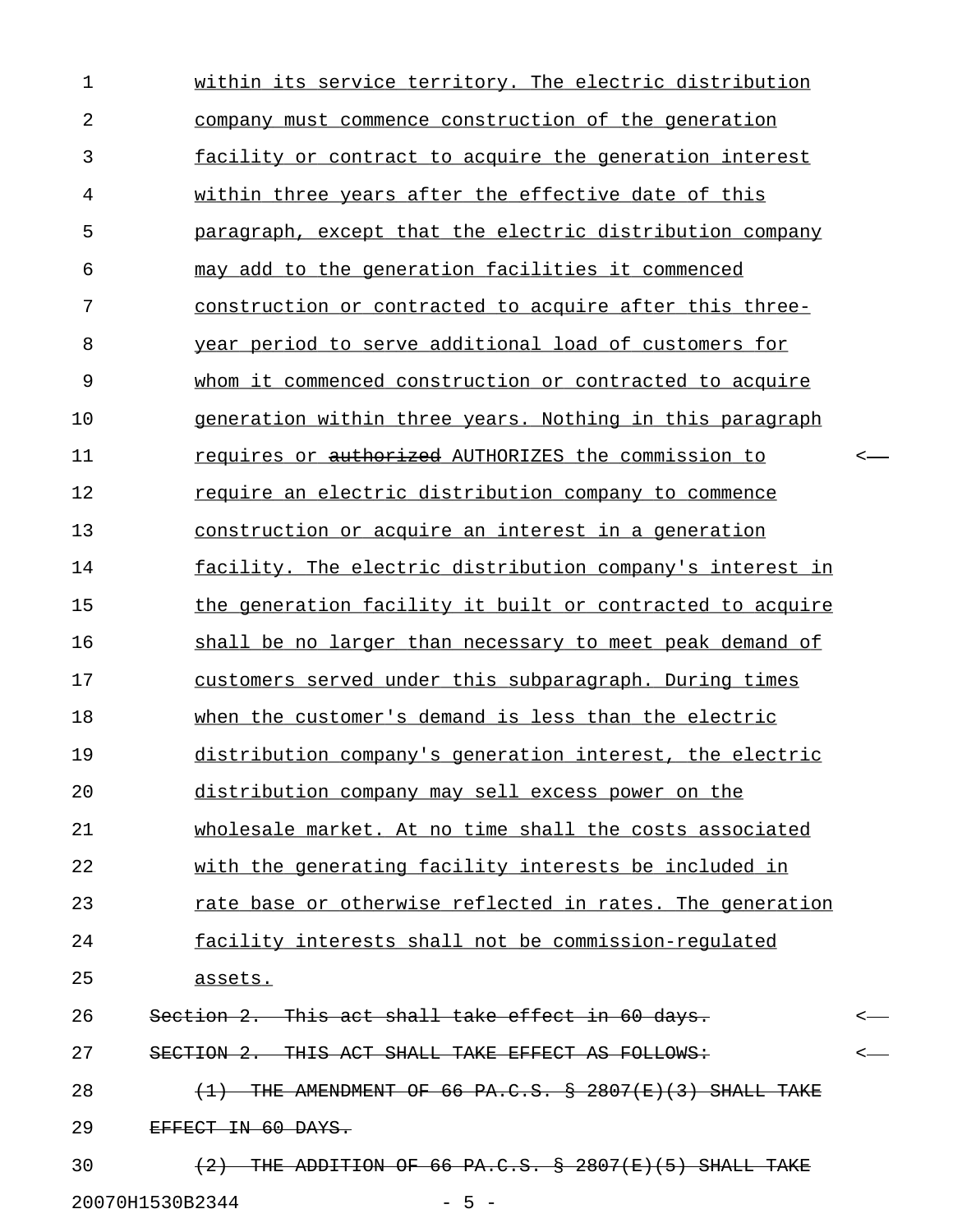1 within its service territory. The electric distribution 2 company must commence construction of the generation 3 **facility or contract to acquire the generation interest** 4 within three years after the effective date of this 5 paragraph, except that the electric distribution company 6 may add to the generation facilities it commenced 7 construction or contracted to acquire after this three-8 vear period to serve additional load of customers for 9 whom it commenced construction or contracted to acquire 10 generation within three years. Nothing in this paragraph 11 requires or <del>authorized</del> AUTHORIZES the commission to  $\prec$ 12 **require an electric distribution company to commence** 13 construction or acquire an interest in a generation 14 facility. The electric distribution company's interest in 15 the generation facility it built or contracted to acquire 16 shall be no larger than necessary to meet peak demand of 17 customers served under this subparagraph. During times 18 when the customer's demand is less than the electric 19 distribution company's generation interest, the electric 20 distribution company may sell excess power on the 21 wholesale market. At no time shall the costs associated 22 with the generating facility interests be included in 23 rate base or otherwise reflected in rates. The generation 24 facility interests shall not be commission-requlated 25 assets. \_\_\_\_\_\_\_ 26 Section 2. This act shall take effect in 60 days. 27 SECTION 2. THIS ACT SHALL TAKE EFFECT AS FOLLOWS:  $\sim$ 28  $(1)$  THE AMENDMENT OF 66 PA.C.S.  $\frac{1}{2}$  2807(E)(3) SHALL TAKE 29 EFFECT IN 60 DAYS. 30  $(2)$  THE ADDITION OF 66 PA.C.S.  $\&$  2807(E)(5) SHALL TAKE 20070H1530B2344 - 5 -